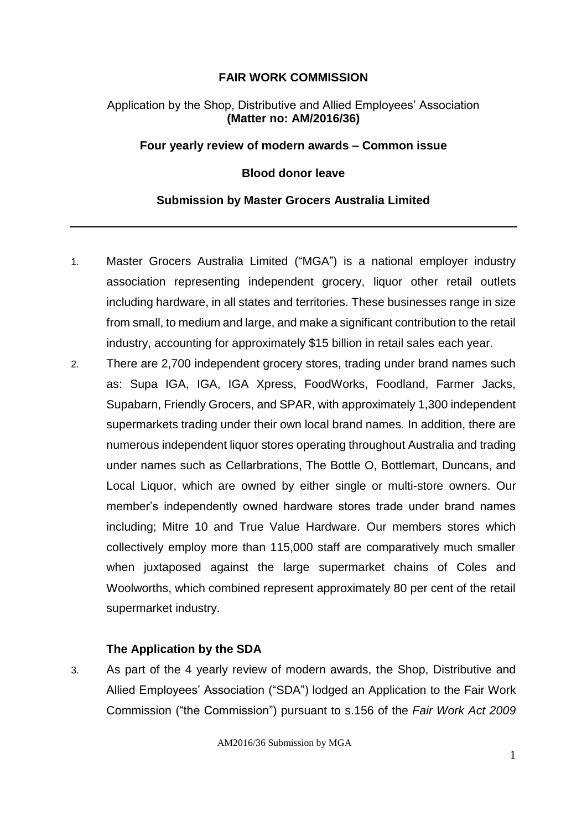### **FAIR WORK COMMISSION**

### Application by the Shop, Distributive and Allied Employees' Association **(Matter no: AM/2016/36)**

#### **Four yearly review of modern awards – Common issue**

#### **Blood donor leave**

#### **Submission by Master Grocers Australia Limited**

- 1. Master Grocers Australia Limited ("MGA") is a national employer industry association representing independent grocery, liquor other retail outlets including hardware, in all states and territories. These businesses range in size from small, to medium and large, and make a significant contribution to the retail industry, accounting for approximately \$15 billion in retail sales each year.
- 2. There are 2,700 independent grocery stores, trading under brand names such as: Supa IGA, IGA, IGA Xpress, FoodWorks, Foodland, Farmer Jacks, Supabarn, Friendly Grocers, and SPAR, with approximately 1,300 independent supermarkets trading under their own local brand names. In addition, there are numerous independent liquor stores operating throughout Australia and trading under names such as Cellarbrations, The Bottle O, Bottlemart, Duncans, and Local Liquor, which are owned by either single or multi-store owners. Our member's independently owned hardware stores trade under brand names including; Mitre 10 and True Value Hardware. Our members stores which collectively employ more than 115,000 staff are comparatively much smaller when juxtaposed against the large supermarket chains of Coles and Woolworths, which combined represent approximately 80 per cent of the retail supermarket industry.

#### **The Application by the SDA**

3. As part of the 4 yearly review of modern awards, the Shop, Distributive and Allied Employees' Association ("SDA") lodged an Application to the Fair Work Commission ("the Commission") pursuant to s.156 of the *Fair Work Act 2009*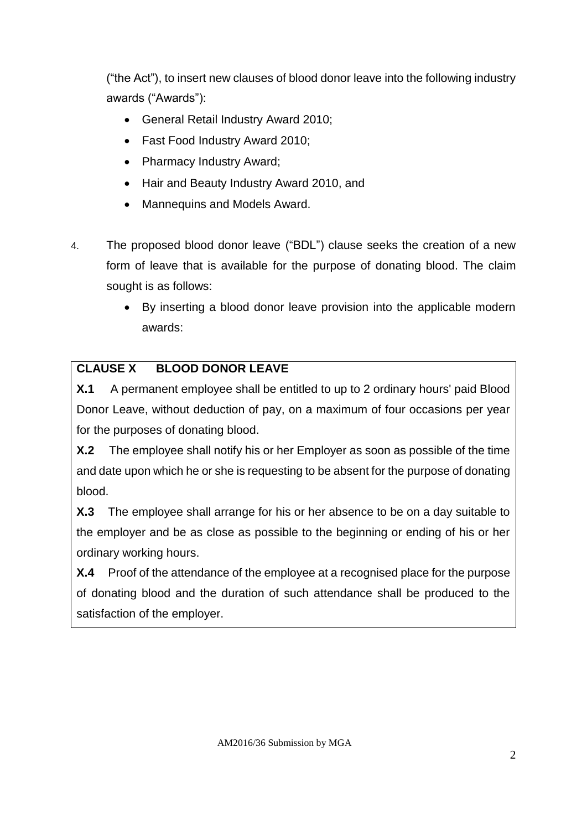("the Act"), to insert new clauses of blood donor leave into the following industry awards ("Awards"):

- General Retail Industry Award 2010;
- Fast Food Industry Award 2010;
- Pharmacy Industry Award;
- Hair and Beauty Industry Award 2010, and
- Mannequins and Models Award.
- 4. The proposed blood donor leave ("BDL") clause seeks the creation of a new form of leave that is available for the purpose of donating blood. The claim sought is as follows:
	- By inserting a blood donor leave provision into the applicable modern awards:

# **CLAUSE X BLOOD DONOR LEAVE**

**X.1** A permanent employee shall be entitled to up to 2 ordinary hours' paid Blood Donor Leave, without deduction of pay, on a maximum of four occasions per year for the purposes of donating blood.

**X.2** The employee shall notify his or her Employer as soon as possible of the time and date upon which he or she is requesting to be absent for the purpose of donating blood.

**X.3** The employee shall arrange for his or her absence to be on a day suitable to the employer and be as close as possible to the beginning or ending of his or her ordinary working hours.

**X.4** Proof of the attendance of the employee at a recognised place for the purpose of donating blood and the duration of such attendance shall be produced to the satisfaction of the employer.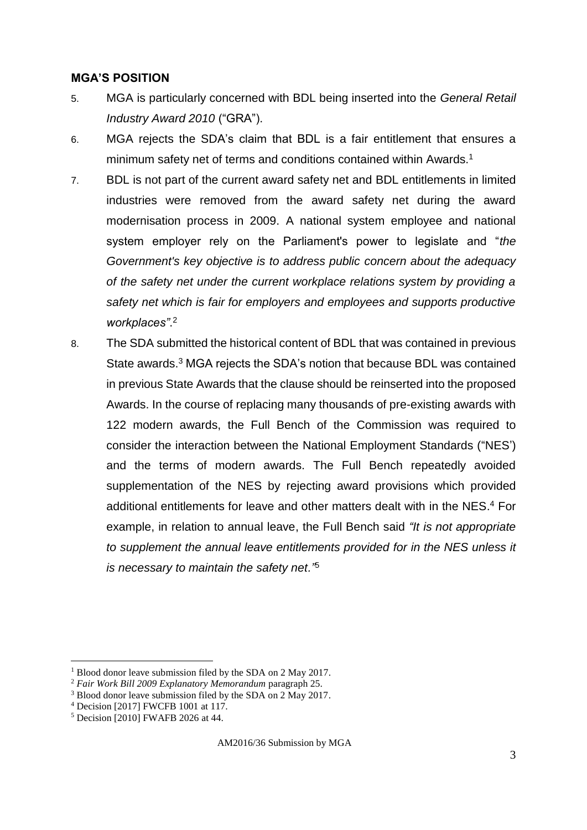### **MGA'S POSITION**

- 5. MGA is particularly concerned with BDL being inserted into the *General Retail Industry Award 2010* ("GRA").
- 6. MGA rejects the SDA's claim that BDL is a fair entitlement that ensures a minimum safety net of terms and conditions contained within Awards.<sup>1</sup>
- 7. BDL is not part of the current award safety net and BDL entitlements in limited industries were removed from the award safety net during the award modernisation process in 2009. A national system employee and national system employer rely on the Parliament's power to legislate and "*the Government's key objective is to address public concern about the adequacy of the safety net under the current workplace relations system by providing a safety net which is fair for employers and employees and supports productive workplaces"*. 2
- 8. The SDA submitted the historical content of BDL that was contained in previous State awards. <sup>3</sup> MGA rejects the SDA's notion that because BDL was contained in previous State Awards that the clause should be reinserted into the proposed Awards. In the course of replacing many thousands of pre-existing awards with 122 modern awards, the Full Bench of the Commission was required to consider the interaction between the National Employment Standards ("NES') and the terms of modern awards. The Full Bench repeatedly avoided supplementation of the NES by rejecting award provisions which provided additional entitlements for leave and other matters dealt with in the NES. <sup>4</sup> For example, in relation to annual leave, the Full Bench said *"It is not appropriate to supplement the annual leave entitlements provided for in the NES unless it is necessary to maintain the safety net."*<sup>5</sup>

1

AM2016/36 Submission by MGA

<sup>&</sup>lt;sup>1</sup> Blood donor leave submission filed by the SDA on 2 May 2017.

<sup>2</sup> *Fair Work Bill 2009 Explanatory Memorandum* paragraph 25.

<sup>&</sup>lt;sup>3</sup> Blood donor leave submission filed by the SDA on 2 May 2017.

<sup>4</sup> Decision [2017] FWCFB 1001 at 117.

<sup>5</sup> Decision [2010] FWAFB 2026 at 44.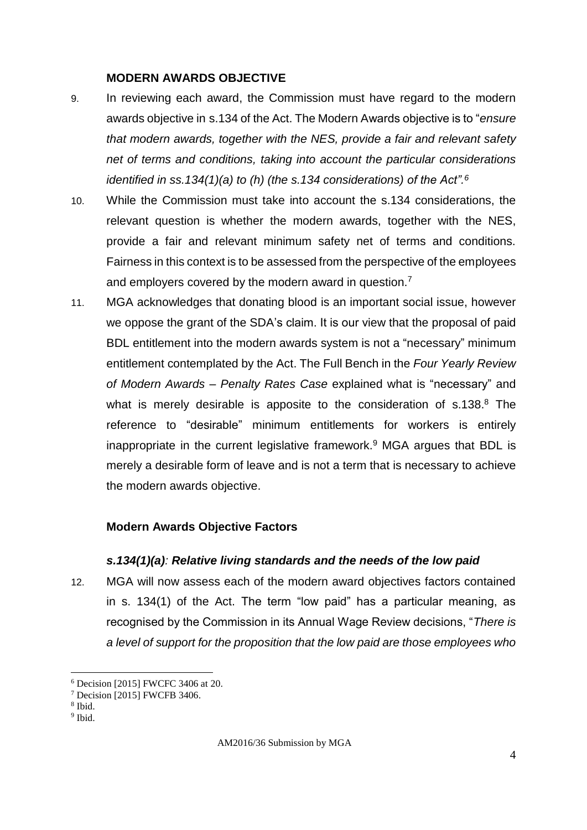#### **MODERN AWARDS OBJECTIVE**

- 9. In reviewing each award, the Commission must have regard to the modern awards objective in s.134 of the Act. The Modern Awards objective is to "*ensure that modern awards, together with the NES, provide a fair and relevant safety net of terms and conditions, taking into account the particular considerations identified in ss.134(1)(a) to (h) (the s.134 considerations) of the Act". 6*
- 10. While the Commission must take into account the s.134 considerations, the relevant question is whether the modern awards, together with the NES, provide a fair and relevant minimum safety net of terms and conditions. Fairness in this context is to be assessed from the perspective of the employees and employers covered by the modern award in question.<sup>7</sup>
- 11. MGA acknowledges that donating blood is an important social issue, however we oppose the grant of the SDA's claim. It is our view that the proposal of paid BDL entitlement into the modern awards system is not a "necessary" minimum entitlement contemplated by the Act. The Full Bench in the *Four Yearly Review of Modern Awards – Penalty Rates Case* explained what is "necessary" and what is merely desirable is apposite to the consideration of s.138.<sup>8</sup> The reference to "desirable" minimum entitlements for workers is entirely inappropriate in the current legislative framework.<sup>9</sup> MGA argues that BDL is merely a desirable form of leave and is not a term that is necessary to achieve the modern awards objective.

#### **Modern Awards Objective Factors**

#### *s.134(1)(a): Relative living standards and the needs of the low paid*

12. MGA will now assess each of the modern award objectives factors contained in s. 134(1) of the Act. The term "low paid" has a particular meaning, as recognised by the Commission in its Annual Wage Review decisions, "*There is a level of support for the proposition that the low paid are those employees who* 

<sup>6</sup> Decision [2015] FWCFC 3406 at 20.

<sup>7</sup> Decision [2015] FWCFB 3406.

<sup>8</sup> Ibid.

<sup>&</sup>lt;sup>9</sup> Ibid.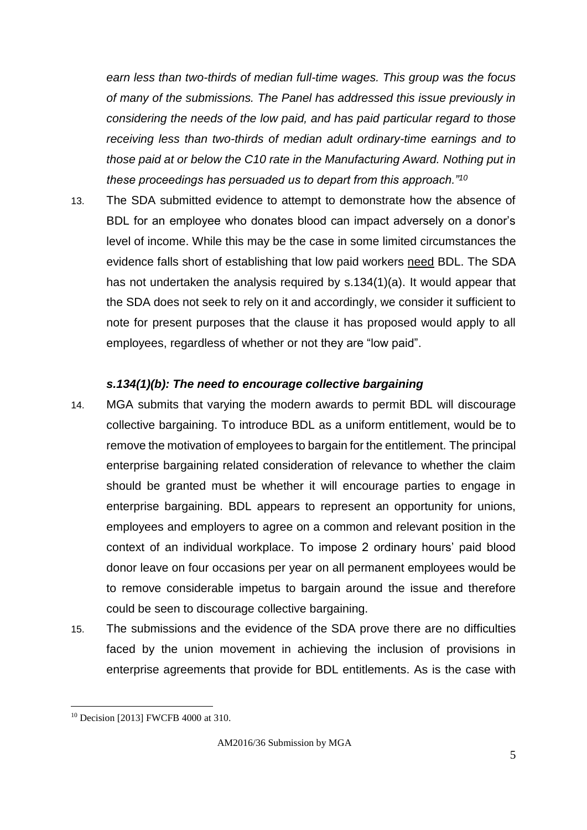*earn less than two-thirds of median full-time wages. This group was the focus of many of the submissions. The Panel has addressed this issue previously in considering the needs of the low paid, and has paid particular regard to those receiving less than two-thirds of median adult ordinary-time earnings and to those paid at or below the C10 rate in the Manufacturing Award. Nothing put in these proceedings has persuaded us to depart from this approach."<sup>10</sup>*

13. The SDA submitted evidence to attempt to demonstrate how the absence of BDL for an employee who donates blood can impact adversely on a donor's level of income. While this may be the case in some limited circumstances the evidence falls short of establishing that low paid workers need BDL. The SDA has not undertaken the analysis required by s.134(1)(a). It would appear that the SDA does not seek to rely on it and accordingly, we consider it sufficient to note for present purposes that the clause it has proposed would apply to all employees, regardless of whether or not they are "low paid".

#### *s.134(1)(b): The need to encourage collective bargaining*

- 14. MGA submits that varying the modern awards to permit BDL will discourage collective bargaining. To introduce BDL as a uniform entitlement, would be to remove the motivation of employees to bargain for the entitlement. The principal enterprise bargaining related consideration of relevance to whether the claim should be granted must be whether it will encourage parties to engage in enterprise bargaining. BDL appears to represent an opportunity for unions, employees and employers to agree on a common and relevant position in the context of an individual workplace. To impose 2 ordinary hours' paid blood donor leave on four occasions per year on all permanent employees would be to remove considerable impetus to bargain around the issue and therefore could be seen to discourage collective bargaining.
- 15. The submissions and the evidence of the SDA prove there are no difficulties faced by the union movement in achieving the inclusion of provisions in enterprise agreements that provide for BDL entitlements. As is the case with

<sup>&</sup>lt;sup>10</sup> Decision [2013] FWCFB 4000 at 310.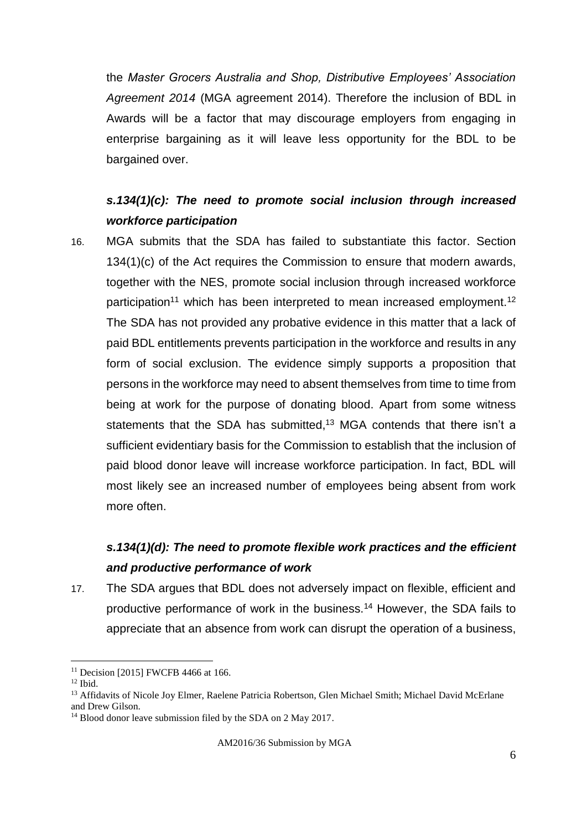the *Master Grocers Australia and Shop, Distributive Employees' Association Agreement 2014* (MGA agreement 2014). Therefore the inclusion of BDL in Awards will be a factor that may discourage employers from engaging in enterprise bargaining as it will leave less opportunity for the BDL to be bargained over.

## *s.134(1)(c): The need to promote social inclusion through increased workforce participation*

16. MGA submits that the SDA has failed to substantiate this factor. Section 134(1)(c) of the Act requires the Commission to ensure that modern awards, together with the NES, promote social inclusion through increased workforce participation<sup>11</sup> which has been interpreted to mean increased employment.<sup>12</sup> The SDA has not provided any probative evidence in this matter that a lack of paid BDL entitlements prevents participation in the workforce and results in any form of social exclusion. The evidence simply supports a proposition that persons in the workforce may need to absent themselves from time to time from being at work for the purpose of donating blood. Apart from some witness statements that the SDA has submitted,<sup>13</sup> MGA contends that there isn't a sufficient evidentiary basis for the Commission to establish that the inclusion of paid blood donor leave will increase workforce participation. In fact, BDL will most likely see an increased number of employees being absent from work more often.

# *s.134(1)(d): The need to promote flexible work practices and the efficient and productive performance of work*

17. The SDA argues that BDL does not adversely impact on flexible, efficient and productive performance of work in the business.<sup>14</sup> However, the SDA fails to appreciate that an absence from work can disrupt the operation of a business,

<sup>&</sup>lt;sup>11</sup> Decision [2015] FWCFB 4466 at 166.

<sup>12</sup> Ibid.

<sup>&</sup>lt;sup>13</sup> Affidavits of Nicole Joy Elmer, Raelene Patricia Robertson, Glen Michael Smith; Michael David McErlane and Drew Gilson.

<sup>&</sup>lt;sup>14</sup> Blood donor leave submission filed by the SDA on 2 May 2017.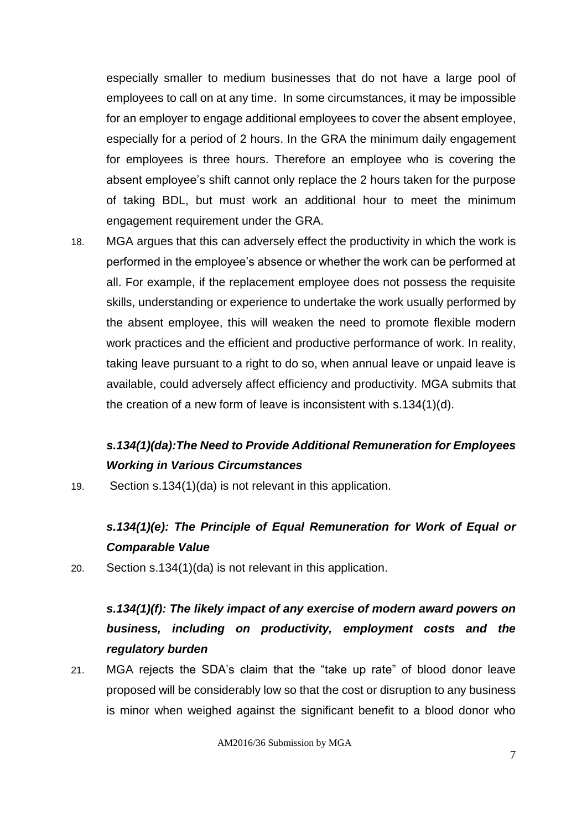especially smaller to medium businesses that do not have a large pool of employees to call on at any time. In some circumstances, it may be impossible for an employer to engage additional employees to cover the absent employee, especially for a period of 2 hours. In the GRA the minimum daily engagement for employees is three hours. Therefore an employee who is covering the absent employee's shift cannot only replace the 2 hours taken for the purpose of taking BDL, but must work an additional hour to meet the minimum engagement requirement under the GRA.

18. MGA argues that this can adversely effect the productivity in which the work is performed in the employee's absence or whether the work can be performed at all. For example, if the replacement employee does not possess the requisite skills, understanding or experience to undertake the work usually performed by the absent employee, this will weaken the need to promote flexible modern work practices and the efficient and productive performance of work. In reality, taking leave pursuant to a right to do so, when annual leave or unpaid leave is available, could adversely affect efficiency and productivity. MGA submits that the creation of a new form of leave is inconsistent with s.134(1)(d).

## *s.134(1)(da):The Need to Provide Additional Remuneration for Employees Working in Various Circumstances*

19. Section s.134(1)(da) is not relevant in this application.

## *s.134(1)(e): The Principle of Equal Remuneration for Work of Equal or Comparable Value*

20. Section s.134(1)(da) is not relevant in this application.

# *s.134(1)(f): The likely impact of any exercise of modern award powers on business, including on productivity, employment costs and the regulatory burden*

21. MGA rejects the SDA's claim that the "take up rate" of blood donor leave proposed will be considerably low so that the cost or disruption to any business is minor when weighed against the significant benefit to a blood donor who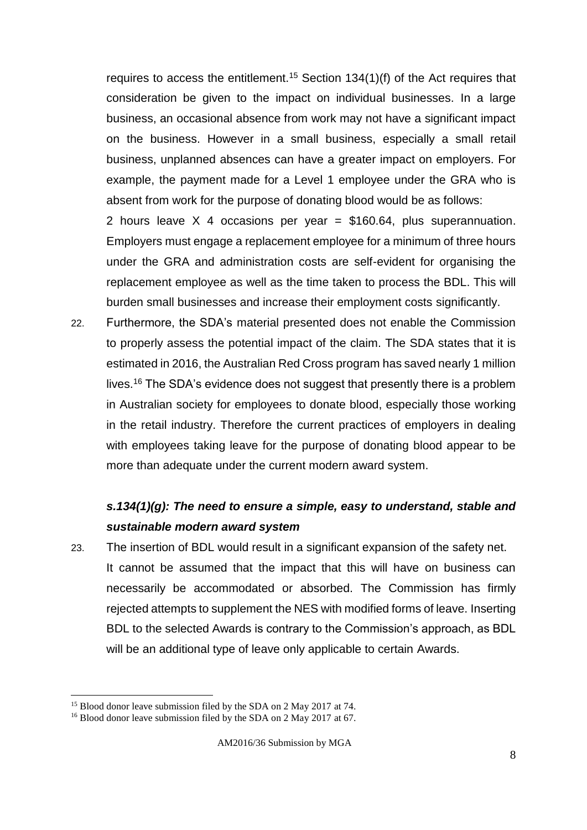requires to access the entitlement.<sup>15</sup> Section  $134(1)(f)$  of the Act requires that consideration be given to the impact on individual businesses. In a large business, an occasional absence from work may not have a significant impact on the business. However in a small business, especially a small retail business, unplanned absences can have a greater impact on employers. For example, the payment made for a Level 1 employee under the GRA who is absent from work for the purpose of donating blood would be as follows:

2 hours leave  $X$  4 occasions per year = \$160.64, plus superannuation. Employers must engage a replacement employee for a minimum of three hours under the GRA and administration costs are self-evident for organising the replacement employee as well as the time taken to process the BDL. This will burden small businesses and increase their employment costs significantly.

22. Furthermore, the SDA's material presented does not enable the Commission to properly assess the potential impact of the claim. The SDA states that it is estimated in 2016, the Australian Red Cross program has saved nearly 1 million lives.<sup>16</sup> The SDA's evidence does not suggest that presently there is a problem in Australian society for employees to donate blood, especially those working in the retail industry. Therefore the current practices of employers in dealing with employees taking leave for the purpose of donating blood appear to be more than adequate under the current modern award system.

## *s.134(1)(g): The need to ensure a simple, easy to understand, stable and sustainable modern award system*

23. The insertion of BDL would result in a significant expansion of the safety net. It cannot be assumed that the impact that this will have on business can necessarily be accommodated or absorbed. The Commission has firmly rejected attempts to supplement the NES with modified forms of leave. Inserting BDL to the selected Awards is contrary to the Commission's approach, as BDL will be an additional type of leave only applicable to certain Awards.

<sup>&</sup>lt;sup>15</sup> Blood donor leave submission filed by the SDA on 2 May 2017 at 74.

<sup>&</sup>lt;sup>16</sup> Blood donor leave submission filed by the SDA on 2 May 2017 at 67.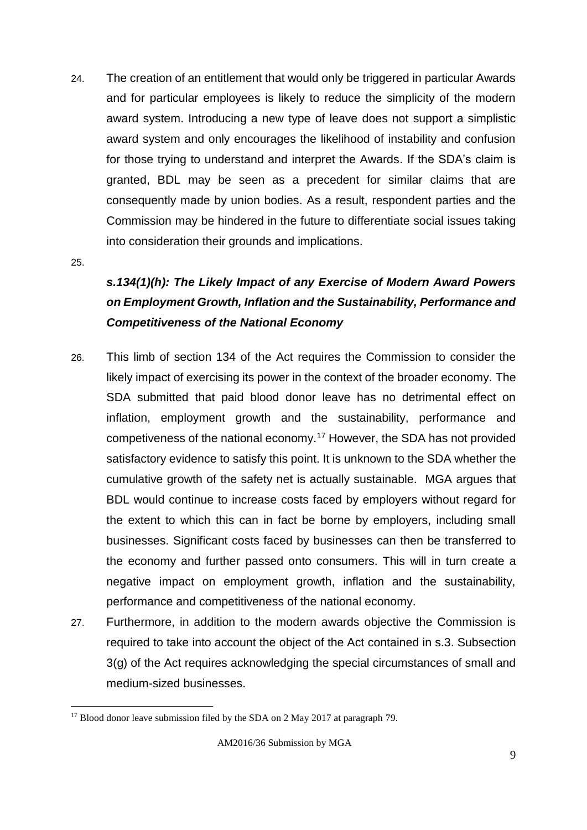24. The creation of an entitlement that would only be triggered in particular Awards and for particular employees is likely to reduce the simplicity of the modern award system. Introducing a new type of leave does not support a simplistic award system and only encourages the likelihood of instability and confusion for those trying to understand and interpret the Awards. If the SDA's claim is granted, BDL may be seen as a precedent for similar claims that are consequently made by union bodies. As a result, respondent parties and the Commission may be hindered in the future to differentiate social issues taking into consideration their grounds and implications.

25.

1

# *s.134(1)(h): The Likely Impact of any Exercise of Modern Award Powers on Employment Growth, Inflation and the Sustainability, Performance and Competitiveness of the National Economy*

- 26. This limb of section 134 of the Act requires the Commission to consider the likely impact of exercising its power in the context of the broader economy. The SDA submitted that paid blood donor leave has no detrimental effect on inflation, employment growth and the sustainability, performance and competiveness of the national economy.<sup>17</sup> However, the SDA has not provided satisfactory evidence to satisfy this point. It is unknown to the SDA whether the cumulative growth of the safety net is actually sustainable. MGA argues that BDL would continue to increase costs faced by employers without regard for the extent to which this can in fact be borne by employers, including small businesses. Significant costs faced by businesses can then be transferred to the economy and further passed onto consumers. This will in turn create a negative impact on employment growth, inflation and the sustainability, performance and competitiveness of the national economy.
- 27. Furthermore, in addition to the modern awards objective the Commission is required to take into account the object of the Act contained in s.3. Subsection 3(g) of the Act requires acknowledging the special circumstances of small and medium-sized businesses.

 $17$  Blood donor leave submission filed by the SDA on 2 May 2017 at paragraph 79.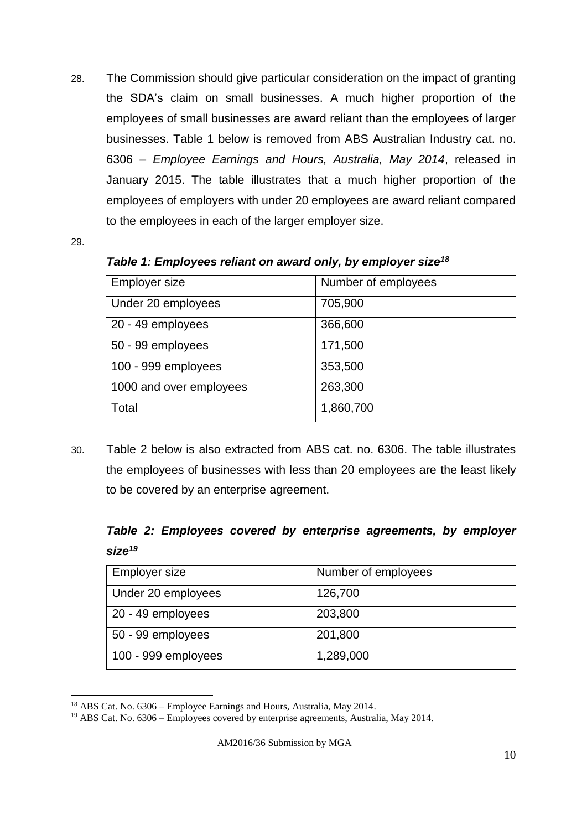28. The Commission should give particular consideration on the impact of granting the SDA's claim on small businesses. A much higher proportion of the employees of small businesses are award reliant than the employees of larger businesses. Table 1 below is removed from ABS Australian Industry cat. no. 6306 – *Employee Earnings and Hours, Australia, May 2014*, released in January 2015. The table illustrates that a much higher proportion of the employees of employers with under 20 employees are award reliant compared to the employees in each of the larger employer size.

29.

1

*Table 1: Employees reliant on award only, by employer size<sup>18</sup>*

| <b>Employer size</b>    | Number of employees |
|-------------------------|---------------------|
| Under 20 employees      | 705,900             |
| 20 - 49 employees       | 366,600             |
| 50 - 99 employees       | 171,500             |
| 100 - 999 employees     | 353,500             |
| 1000 and over employees | 263,300             |
| Total                   | 1,860,700           |

30. Table 2 below is also extracted from ABS cat. no. 6306. The table illustrates the employees of businesses with less than 20 employees are the least likely to be covered by an enterprise agreement.

*Table 2: Employees covered by enterprise agreements, by employer size<sup>19</sup>*

| <b>Employer size</b> | Number of employees |
|----------------------|---------------------|
| Under 20 employees   | 126,700             |
| 20 - 49 employees    | 203,800             |
| 50 - 99 employees    | 201,800             |
| 100 - 999 employees  | 1,289,000           |

<sup>18</sup> ABS Cat. No. 6306 – Employee Earnings and Hours, Australia, May 2014.

<sup>&</sup>lt;sup>19</sup> ABS Cat. No. 6306 – Employees covered by enterprise agreements, Australia, May 2014.